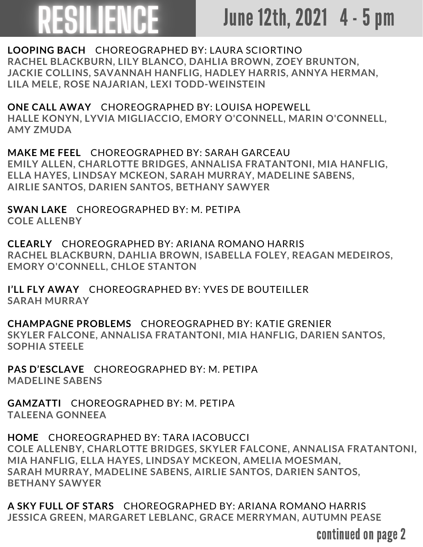## RESILIENCE

## June 12th, 2021 4 - 5 pm

**LOOPING BACH** CHOREOGRAPHED BY: LAURA SCIORTINO **RACHEL BLACKBURN, LILY BLANCO, DAHLIA BROWN, ZOEY BRUNTON, JACKIE COLLINS, SAVANNAH HANFLIG, HADLEY HARRIS, ANNYA HERMAN, LILA MELE, ROSE NAJARIAN, LEXI TODD-WEINSTEIN**

**ONE CALL AWAY** CHOREOGRAPHED BY: LOUISA HOPEWELL **HALLE KONYN, LYVIA MIGLIACCIO, EMORY O'CONNELL, MARIN O'CONNELL, AMY ZMUDA**

**MAKE ME FEEL** CHOREOGRAPHED BY: SARAH GARCEAU **EMILY ALLEN, CHARLOTTE BRIDGES, ANNALISA FRATANTONI, MIA HANFLIG, ELLA HAYES, LINDSAY MCKEON, SARAH MURRAY, MADELINE SABENS, AIRLIE SANTOS, DARIEN SANTOS, BETHANY SAWYER**

**SWAN LAKE** CHOREOGRAPHED BY: M. PETIPA **COLE ALLENBY**

**CLEARLY** CHOREOGRAPHED BY: ARIANA ROMANO HARRIS **RACHEL BLACKBURN, DAHLIA BROWN, ISABELLA FOLEY, REAGAN MEDEIROS, EMORY O'CONNELL, CHLOE STANTON**

**I'LL FLY AWAY** CHOREOGRAPHED BY: YVES DE BOUTEILLER **SARAH MURRAY**

**CHAMPAGNE PROBLEMS** CHOREOGRAPHED BY: KATIE GRENIER **SKYLER FALCONE, ANNALISA FRATANTONI, MIA HANFLIG, DARIEN SANTOS, SOPHIA STEELE**

**PAS D'ESCLAVE** CHOREOGRAPHED BY: M. PETIPA **MADELINE SABENS**

**GAMZATTI** CHOREOGRAPHED BY: M. PETIPA **TALEENA GONNEEA**

**HOME** CHOREOGRAPHED BY: TARA IACOBUCCI **COLE ALLENBY, CHARLOTTE BRIDGES, SKYLER FALCONE, ANNALISA FRATANTONI, MIA HANFLIG, ELLA HAYES, LINDSAY MCKEON, AMELIA MOESMAN, SARAH MURRAY, MADELINE SABENS, AIRLIE SANTOS, DARIEN SANTOS, BETHANY SAWYER**

**A SKY FULL OF STARS** CHOREOGRAPHED BY: ARIANA ROMANO HARRIS **JESSICA GREEN, MARGARET LEBLANC, GRACE MERRYMAN, AUTUMN PEASE**

continued on page 2